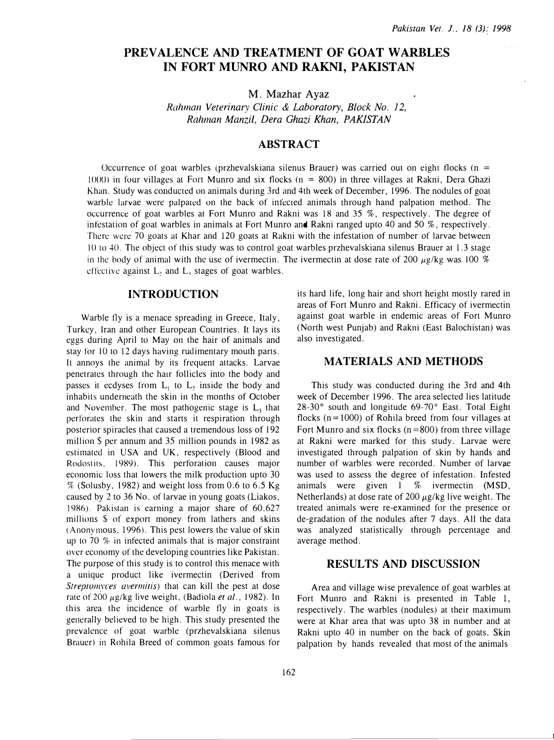# PREVALENCE AND TREATMENT OF GOAT WARBLES IN FORT MUNRO AND RAKNI, PAKISTAN

M. Mazhar Ayaz

Rahman Veterinary Clinic & Laboratory, Block No. 12, Rahman Manzi!, Dera Ghazi Khan, PAKISTAN

#### ABSTRACT

Occurrence of goat warbles (przhevalskiana silenus Brauer) was carried out on eight flocks ( $n =$  $1000$  in four villages at Fort Munro and six flocks ( $n = 800$ ) in three villages at Rakni, Dera Ghazi Khan. Study was conducted on animals during 3rd and 4th week of December, 1996. The nodules of goat warble larvae were palpated on the back of infected animals through hand palpation method. The occurrence of goat warbles at Fort Munro and Rakni was 18 and 35 %, respectively. The degree of infestation of goat warbles in animals at Fort Munro and Rakni ranged upto 40 and 50 %, respectively. There were 70 goats at Khar and 120 goats at Rakni with the infestation of number of larvae between 10 to 40. The object of this study was to control goat warbles przhevalskiana silenus Brauer at 1.3 stage in the body of animal with the use of ivermectin. The ivermectin at dose rate of 200  $\mu$ g/kg was 100 % effective against  $L$ , and  $L$ , stages of goat warbles.

### INTRODUCTION

Warble tly is a menace spreading in Greece, Italy, Turkey, Iran and other European Countries. It lays its eggs during April to May on the hair of animals and stay for 10 to 12 days having rudimentary mouth parts. It annoys the animal by its frequent attacks. Larvae penetrates through the hair follicles into the body and passes it ecdyses from  $L_1$  to  $L_2$  inside the body and inhabits underneath the skin in the months of October and November. The most pathogenic stage is  $L<sub>3</sub>$  that perforates the skin and starts it respiration through posterior spiracles that caused a tremendous loss of 192 million \$ per annum and 35 million pounds in 1982 as estimated in USA and UK, respectively (Blood and Rodosrits, 1989). This perforation causes major economic loss that lowers the milk production upto 30  $%$  (Solusby, 1982) and weight loss from 0.6 to 6.5 Kg caused by 2 to 36 No. of larvae in young goats (Liakos, 1986). Pakistan is earning a major share of 60.627 millions \$ of export money from lathers and skins (Anonymous, 1996). This pest lowers the value of skin up to 70 % in infected animals that is major constraint over economy of the developing countries like Pakistan. The purpose of this study is to control this menace with a unique product like ivermectin (Derived from Streptomyces avermitis) that can kill the pest at dose rate of 200  $\mu$ g/kg live weight, (Badiola et al., 1982). In this area the incidence of warble fly in goats is generally believed to be high. This study presented the prevalence of goat warble (przhevalskiana silenus Brauer) in Rohila Breed of common goats famous for

its hard life, long hair and short height mostly rared in areas of Fort Munro and Rakrii. Efficacy of ivermectin against goat warble in endemic areas of Fort Munro (North west Punjab) and Rakni (East Balochistan) was also investigated.

#### MATERIALS AND METHODS

This study was conducted during the 3rd and 4th week of December 1996. The area selected lies latitude 28-30° south and longitude 69-70° East. Total Eight flocks ( $n = 1000$ ) of Rohila breed from four villages at Fort Munro and six flocks ( $n = 800$ ) from three village at Rakni were marked for this study. Larvae were investigated through palpation of skin by hands and number of warbles were recorded. Number of larvae was used to assess the degree of infestation. Infested animals were given l % ivermectin (MSD, Netherlands) at dose rate of 200  $\mu$ g/kg live weight. The treated animals were re-examined for the presence or de-gradation of the nodules after 7 days. All the data was analyzed statistically through percentage and average method.

## RESULTS AND DISCUSSION

Area and village wise prevalence of goat warbles at Fort Munro and Rakni is presented in Table 1, respectively. The warbles (nodules) at their maximum were at Khar area that was upto 38 in number and at Rakni upto 40 in number on the back of goats. Skin palpation by hands revealed that most of the animals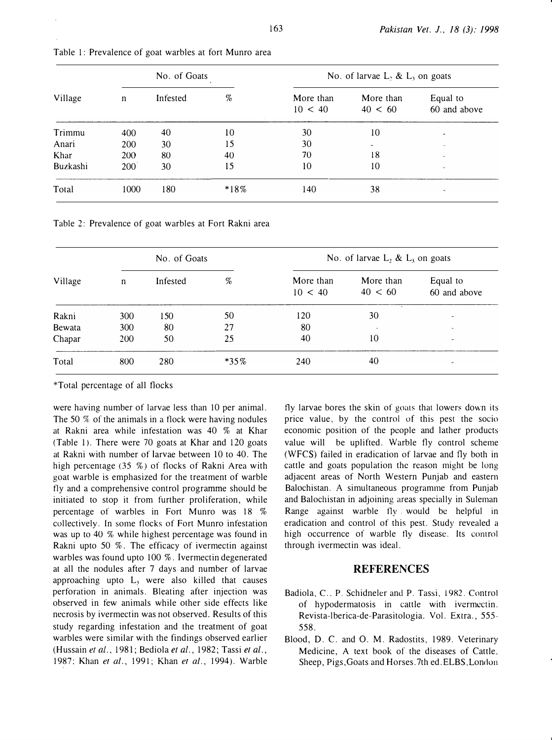| Village  | No. of Goats |          |        | No. of larvae $L_2$ & $L_3$ on goats |                      |                          |  |
|----------|--------------|----------|--------|--------------------------------------|----------------------|--------------------------|--|
|          | n            | Infested | %      | More than<br>10 < 40                 | More than<br>40 < 60 | Equal to<br>60 and above |  |
| Trimmu   | 400          | 40       | 10     | 30                                   | 10                   | $\blacksquare$           |  |
| Anari    | 200          | 30       | 15     | 30                                   |                      | $\sim$                   |  |
| Khar     | 200          | 80       | 40     | 70                                   | 18                   | ۰                        |  |
| Buzkashi | 200          | 30       | 15     | 10                                   | 10                   | $\sim$                   |  |
| Total    | 1000         | 180      | $*18%$ | 140                                  | 38                   |                          |  |

|  |  |  | Table 1: Prevalence of goat warbles at fort Munro area |  |  |  |
|--|--|--|--------------------------------------------------------|--|--|--|
|--|--|--|--------------------------------------------------------|--|--|--|

Table 2: Prevalence of goat warbles at Fort Rakni area

| Village | No. of Goats |          |         | No. of larvae L, & L, on goats |                            |                          |  |
|---------|--------------|----------|---------|--------------------------------|----------------------------|--------------------------|--|
|         | n            | Infested | %       | More than<br>10 < 40           | More than<br>40 < 60       | Equal to<br>60 and above |  |
| Rakni   | 300          | 150      | 50      | 120                            | $\ddot{\phantom{a}}$<br>30 |                          |  |
| Bewata  | 300          | 80       | 27      | 80                             | $\sim$                     |                          |  |
| Chapar  | 200          | 50       | 25      | 40                             | 10                         | $\overline{\phantom{a}}$ |  |
| Total   | 800          | 280      | $*35\%$ | 240                            | 40                         |                          |  |

\*Total percentage of all tlocks

were having number of larvae less than 10 per animal. The 50 % of the animals in a tlock were having nodules at Rakni area while infestation was 40 % at Khar (Table 1). There were 70 goats at Khar and 120 goats at Rakni with number of larvae between 10 to 40. The high percentage (35 %) of flocks of Rakni Area with goat warble is emphasized for the treatment of warble tly and a comprehensive control programme should be initiated to stop it from further proliferation, while percentage of warbles in Fort Munro was 18 % collectively. In some tlocks of Fort Munro infestation was up to 40 % while highest percentage was found in Rakni upto 50  $%$ . The efficacy of ivermectin against warbles was found upto 100 %. lvermectin degenerated at all the nodules after 7 days and number of larvae approaching upto  $L<sub>3</sub>$  were also killed that causes perforation in animals. Bleating after injection was observed in few animals while other side effects like necrosis by ivermectin was not observed. Results of this study regarding infestation and the treatment of goat warbles were similar with the findings observed earlier (Hussain et al., 1981; Bediola et al., 1982; Tassi et al., 1987; Khan et al., 1991; Khan et al., 1994). Warble

fly larvae bores the skin of goats that lowers down its price value, by the control of this pest the socio economic position of the people and lather products value will be uplifted. Warble tly control scheme (WFCS) failed in eradication of larvae and tly both in cattle and goats population the reason might be long adjacent areas of North Western Punjab and eastern Balochistan. A simultaneous programme from Punjab and Balochistan in adjoining areas specially in Suleman Range against warble tly . would be helpful in eradication and control of this pest. Study revealed a high occurrence of warble fly disease. Its control through ivermectin was ideal.

#### **REFERENCES**

- Badiola, C., P. Schidneler and P. Tassi, 1982. Control of hypodermatosis in cattle with ivermcctin. Revista-lberica-de-Parasitologia. Vol. Extra., 555- 558.
- Blood, D. C. and 0. M. Radostits, 1989. Veterinary Medicine, A text book of the diseases of Cattle. Sheep, Pigs, Goats and Horses.7th ed. ELBS, London